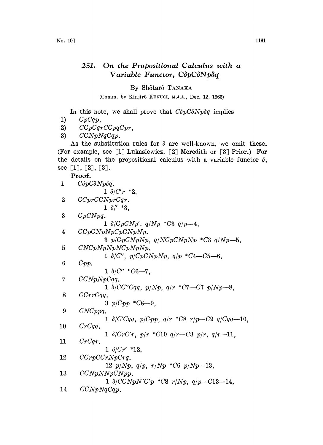## 251. On the Propositional Calculus with  $a$ Variable Functor, CôpCôNpôq

## By Shôtarô TANAKA

(Comm. by Kinjirô KUNUGI, M.J.A., Dec. 12, 1966)

In this note, we shall prove that  $C\delta p C \delta N p \delta q$  implies

- 1)  $CpCqp$ ,
- 2)  $CCpCqrCCpqCpr$ ,

3)  $CCNpNqCqp$ .

As the substitution rules for  $\delta$  are well-known, we omit these. (For example, see  $[1]$  Lukasiewicz,  $[2]$  Meredith or  $[3]$  Prior.) For the details on the propositional calculus with a variable functor  $\delta$ , see [1], [2], [3].

Proof.

| 1  | $C\delta pC\delta Np\delta q.$                                                                  |
|----|-------------------------------------------------------------------------------------------------|
|    | $1 \frac{\partial}{\partial r}$ *2.                                                             |
| 2  | CCprCCNprCqr.                                                                                   |
|    | $1 \frac{\delta}{'}$ *3,                                                                        |
| 3  | CpCNpq.                                                                                         |
|    | $1 \frac{\partial}{\partial p} C N p'$ , $q/Np * C3 q/p-4$ ,                                    |
| 4  | CCpC NpNpCpC NpNp.                                                                              |
|    | 3 $p/CpC NpNp$ , $q/NCpC NpNp$ *C3 $q/Np$ -5,                                                   |
| 5  | CNCpNpNpNCpNpNp.                                                                                |
|    | $1 \frac{\delta}{C''}, \frac{p}{CpC Np Np}, \frac{q}{p} \cdot C4 - C5 - 6,$                     |
| 6  | Cpp.                                                                                            |
|    | $1 \frac{\delta}{C''}$ *C6-7.                                                                   |
| 7  | CCNpNpCqq.                                                                                      |
| 8  | 1 $\delta$ /CC"Cqq, p/Np, q/r *C7-C7 p/Np-8,<br>CCrrCqq.                                        |
|    | 3 $p/Cpp$ *C8-9.                                                                                |
| 9  | CNCppq.                                                                                         |
|    | $1 \frac{\delta}{C'Cqq}, \frac{p}{Cpp}, \frac{q}{r}$ *C8 $\frac{r}{p}$ -C9 $\frac{q}{Cqq}$ -10, |
| 10 | CrCqq.                                                                                          |
|    | $1 \frac{\partial}{\partial r} C r C' r$ , $p/r$ *C10 $q/r$ -C3 $p/r$ , $q/r$ -11,              |
| 11 | CrCqr.                                                                                          |
|    | $1 \frac{\partial}{\partial r'}$ *12.                                                           |
| 12 | CCrpCCrNpCrq.                                                                                   |
|    | $12 p/Np, q/p, r/Np *C6 p/Np-13,$                                                               |
| 13 | CCNpNNpCNpp.                                                                                    |
|    | 1 $\delta/CC NpN'C'p$ *C8 $r/Np$ , q/p-C13-14,                                                  |
| 14 | CCNpNqCqp.                                                                                      |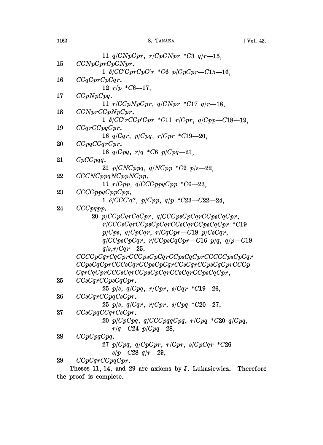|    | 11 $q/CNpCpr$ , $r/CpCNpr$ *C3 $q/r-15$ ,                                    |
|----|------------------------------------------------------------------------------|
| 15 | CCNpCprCpCNpr.                                                               |
|    | 1 $\delta/CC'CprCpC'r * C6 p/CpCpr-C15-16$ ,                                 |
| 16 | CCqCprCpCqr.                                                                 |
|    | 12 $r/p$ *C6-17,                                                             |
| 17 | CCpNpCpq.                                                                    |
|    | 11 $r/CcpNpCpr$ , $q/CNpr$ *C17 $q/r-18$ ,                                   |
| 18 | CCNprCCpNpCpr.                                                               |
|    | $1 \ \delta/CCrCCp^{\prime}Cpr$ *C11 $r/Cpr$ , q/Cpp-C18-19,                 |
| 19 | CCqrCCpqCpr.                                                                 |
|    | 16 $q/Cqr$ , $p/Cpq$ , $r/Cpr$ *C19-20,                                      |
| 20 | CCpqCCqrCpr.                                                                 |
|    | 16 $q/Cpq$ , $r/q$ *C6 $p/Cpq-21$ ,                                          |
| 21 | $CpCCpqq$ .                                                                  |
|    | 21 $p/CNCppq$ , $q/NCpp * C9 p/s=22$ ,                                       |
| 22 | CCCNCppqNCppNCpp.                                                            |
|    | 11 $r/Cpp$ , $q/CCCppqCpp$ *C6-23,                                           |
| 23 | CCCCppqCppCpp.                                                               |
|    | 1 $\delta$ /CCC'q'', p/Cpp, q/p *C23--C22--24,                               |
| 24 | CCCpqpp.                                                                     |
|    | 20 $p/CCpCqrCqCpr$ , $q/CCCpsCpCqrCCpsCqCpr$ ,                               |
|    | $r/CCCsCqrCCpsCpCqrCCsCqrCCpsCqCpr$ *C19                                     |
|    | $p/Cps, q/CpCqr, r/CqCpr-C19 p/CsCqr,$                                       |
|    | $q/CCpsCpCqr$ , $r/CCpsCqCpr-C16$ $p/q$ , $q/p-C19$                          |
|    | $q/s, r/Cqr - 25$ ,                                                          |
|    | $CCCCpCqrCqCprCCCpsCpCqrCCpsCqCprCCCCCpsCpCqr$                               |
|    | $CCpsCqCprCCCsCqrCCpsCpCqrCCsCqrCCpsCqCprCCCp$                               |
|    | $CqrCqCprCCCSCqrCCpsCpCqrCCsCqrCCpsCqCqr,$                                   |
| 25 | CCsCqrCCpsCqCpr.                                                             |
|    | 25 $p/s$ , $q/Cpq$ , $r/Cpr$ , $s/Cqr$ *C19-26,                              |
| 26 | CCsCqrCCpqCsCpr.                                                             |
|    | 25 $p/s$ , $q/Cqr$ , $r/Cpr$ , $s/Cpq$ *C20-27,                              |
| 27 | CCsCpqCCqrCsCpr.                                                             |
|    | 20 $p/ C p C p q$ , $q/ C C C p q q C p q$ , $r/ C p q$ * $C20$ $q/ C p q$ , |
|    | $r/q - C24 p/Cpq - 28$ ,                                                     |
| 28 | CCpCpqCpq.                                                                   |
|    | 27 $p/Cpq$ , $q/CpCpr$ , $r/Cpr$ , $s/CpCqr$ *C26                            |
|    | $s/p - C28$ q/r-29.                                                          |
| 29 | CCpCqrCCpqCpr.                                                               |

Theses 11, 14, and 29 are axioms by J. Lukasiewicz. Therefore the proof is complete.